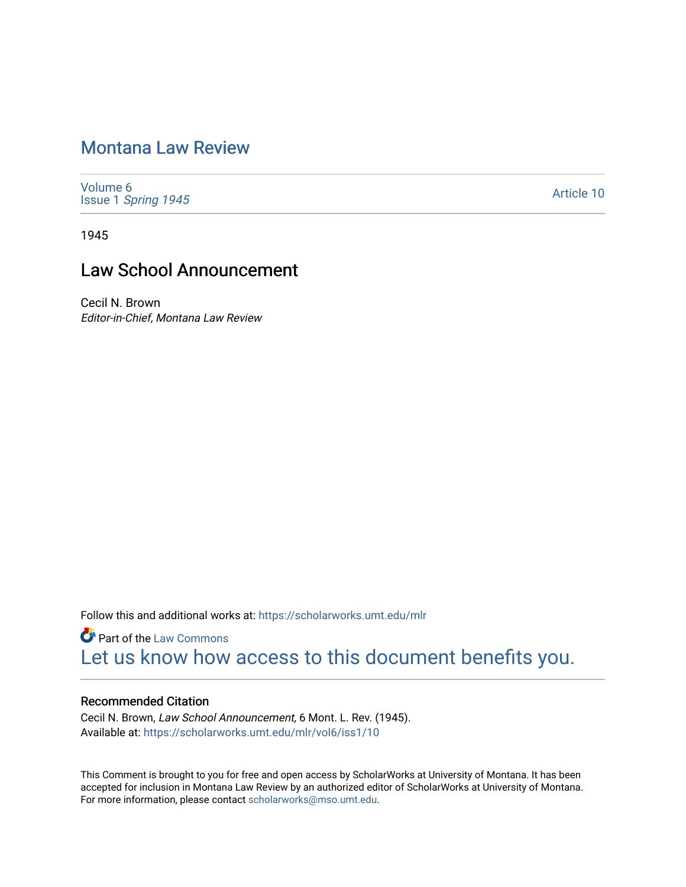## [Montana Law Review](https://scholarworks.umt.edu/mlr)

[Volume 6](https://scholarworks.umt.edu/mlr/vol6) Issue 1 [Spring 1945](https://scholarworks.umt.edu/mlr/vol6/iss1) 

[Article 10](https://scholarworks.umt.edu/mlr/vol6/iss1/10) 

1945

# Law School Announcement

Cecil N. Brown Editor-in-Chief, Montana Law Review

Follow this and additional works at: [https://scholarworks.umt.edu/mlr](https://scholarworks.umt.edu/mlr?utm_source=scholarworks.umt.edu%2Fmlr%2Fvol6%2Fiss1%2F10&utm_medium=PDF&utm_campaign=PDFCoverPages) 

**Part of the [Law Commons](http://network.bepress.com/hgg/discipline/578?utm_source=scholarworks.umt.edu%2Fmlr%2Fvol6%2Fiss1%2F10&utm_medium=PDF&utm_campaign=PDFCoverPages)** [Let us know how access to this document benefits you.](https://goo.gl/forms/s2rGfXOLzz71qgsB2) 

### Recommended Citation

Cecil N. Brown, Law School Announcement, 6 Mont. L. Rev. (1945). Available at: [https://scholarworks.umt.edu/mlr/vol6/iss1/10](https://scholarworks.umt.edu/mlr/vol6/iss1/10?utm_source=scholarworks.umt.edu%2Fmlr%2Fvol6%2Fiss1%2F10&utm_medium=PDF&utm_campaign=PDFCoverPages) 

This Comment is brought to you for free and open access by ScholarWorks at University of Montana. It has been accepted for inclusion in Montana Law Review by an authorized editor of ScholarWorks at University of Montana. For more information, please contact [scholarworks@mso.umt.edu.](mailto:scholarworks@mso.umt.edu)